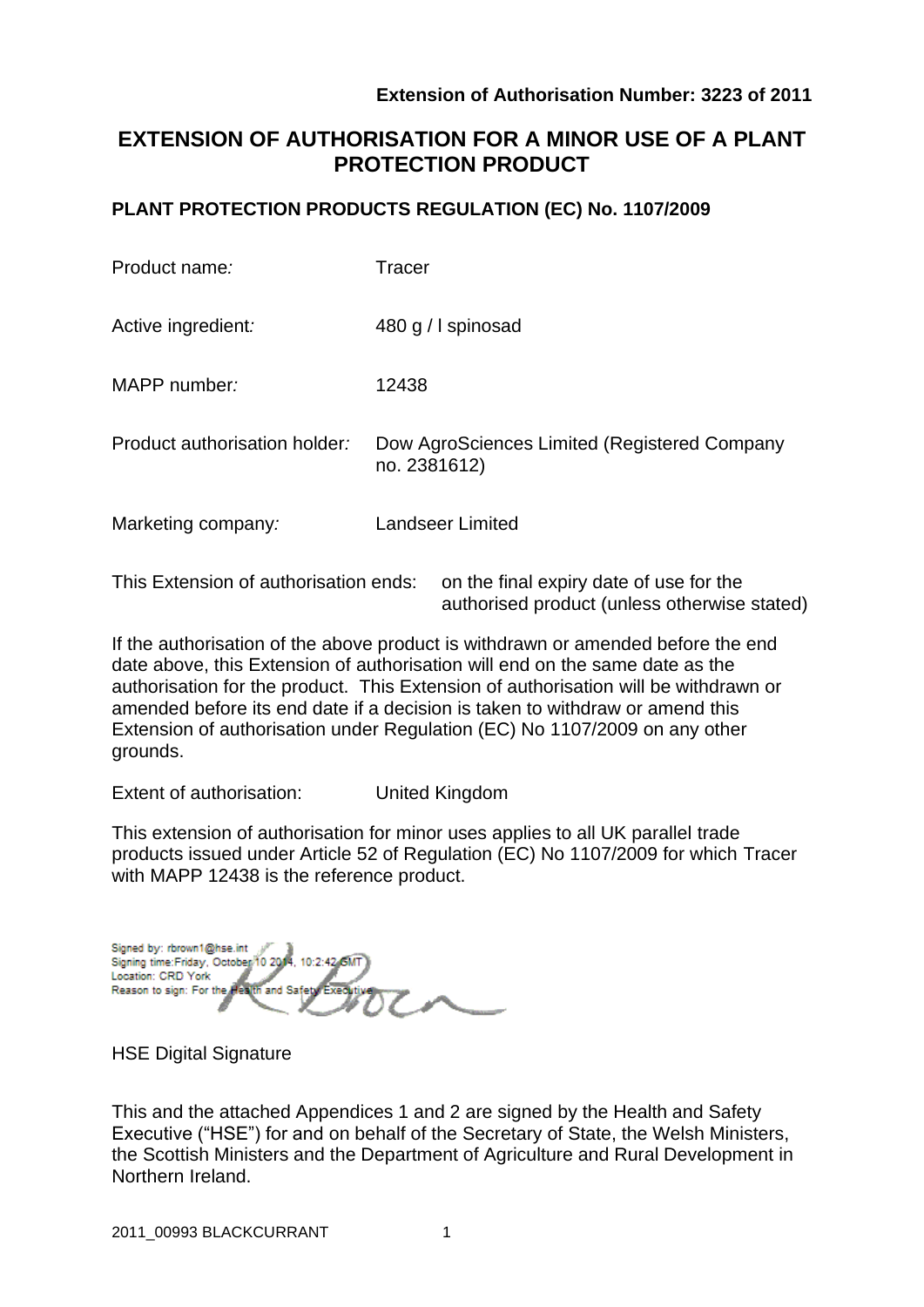# **EXTENSION OF AUTHORISATION FOR A MINOR USE OF A PLANT PROTECTION PRODUCT**

### **PLANT PROTECTION PRODUCTS REGULATION (EC) No. 1107/2009**

| Product name:                 | Tracer                                                       |
|-------------------------------|--------------------------------------------------------------|
| Active ingredient:            | 480 g / I spinosad                                           |
| MAPP number:                  | 12438                                                        |
| Product authorisation holder: | Dow AgroSciences Limited (Registered Company<br>no. 2381612) |
| Marketing company:            | Landseer Limited                                             |
|                               |                                                              |

This Extension of authorisation ends: on the final expiry date of use for the authorised product (unless otherwise stated)

If the authorisation of the above product is withdrawn or amended before the end date above, this Extension of authorisation will end on the same date as the authorisation for the product. This Extension of authorisation will be withdrawn or amended before its end date if a decision is taken to withdraw or amend this Extension of authorisation under Regulation (EC) No 1107/2009 on any other grounds.

Extent of authorisation: United Kingdom

This extension of authorisation for minor uses applies to all UK parallel trade products issued under Article 52 of Regulation (EC) No 1107/2009 for which Tracer with MAPP 12438 is the reference product.

Signed by: rbrown1@hse.int Signing time: Friday, October 10 2014, 10:2:42 GM Location: CRD York Reason to sign: For the and Safet

HSE Digital Signature

This and the attached Appendices 1 and 2 are signed by the Health and Safety Executive ("HSE") for and on behalf of the Secretary of State, the Welsh Ministers, the Scottish Ministers and the Department of Agriculture and Rural Development in Northern Ireland.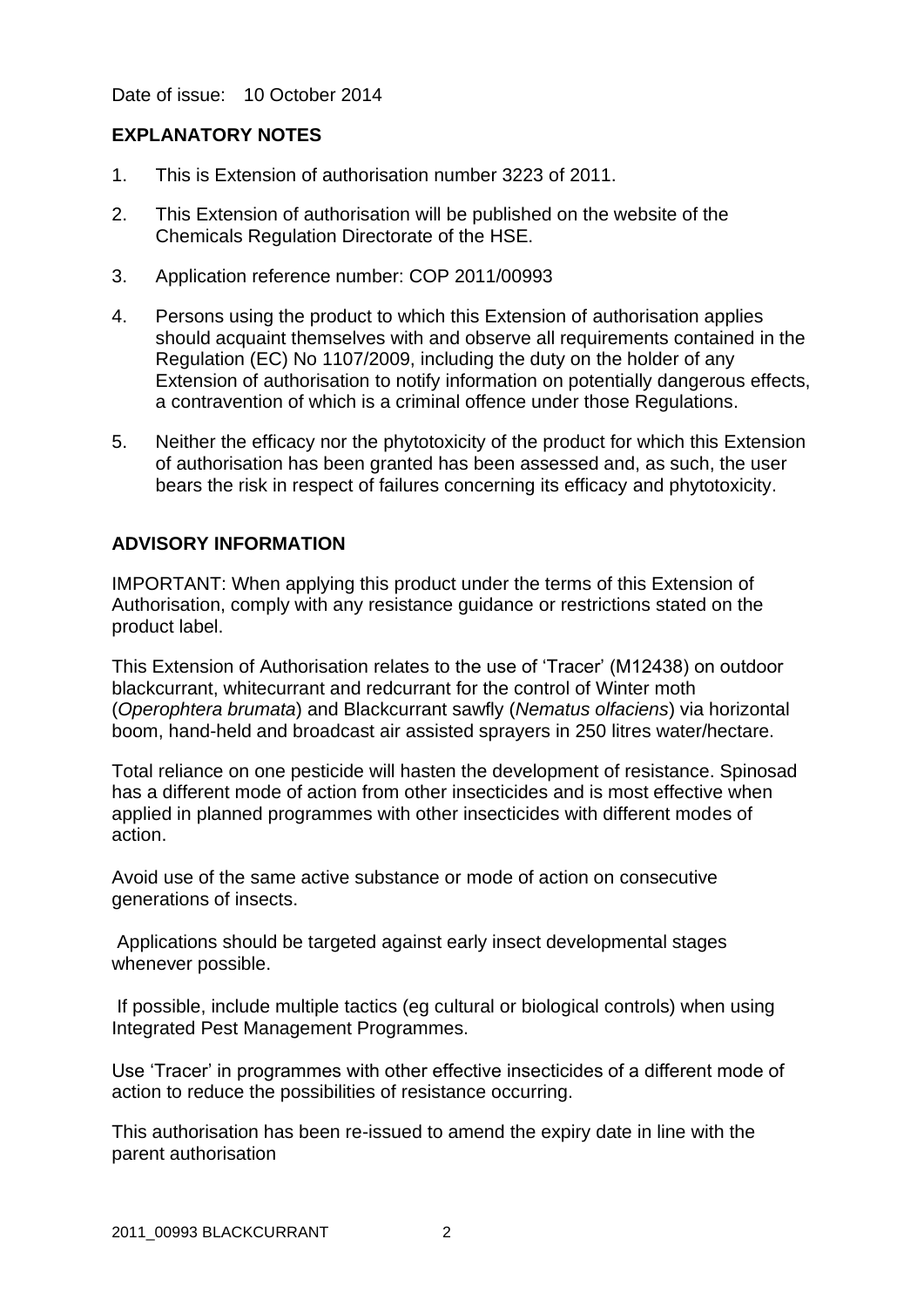Date of issue: 10 October 2014

### **EXPLANATORY NOTES**

- 1. This is Extension of authorisation number 3223 of 2011.
- 2. This Extension of authorisation will be published on the website of the Chemicals Regulation Directorate of the HSE.
- 3. Application reference number: COP 2011/00993
- 4. Persons using the product to which this Extension of authorisation applies should acquaint themselves with and observe all requirements contained in the Regulation (EC) No 1107/2009, including the duty on the holder of any Extension of authorisation to notify information on potentially dangerous effects, a contravention of which is a criminal offence under those Regulations.
- 5. Neither the efficacy nor the phytotoxicity of the product for which this Extension of authorisation has been granted has been assessed and, as such, the user bears the risk in respect of failures concerning its efficacy and phytotoxicity.

### **ADVISORY INFORMATION**

IMPORTANT: When applying this product under the terms of this Extension of Authorisation, comply with any resistance guidance or restrictions stated on the product label.

This Extension of Authorisation relates to the use of 'Tracer' (M12438) on outdoor blackcurrant, whitecurrant and redcurrant for the control of Winter moth (*Operophtera brumata*) and Blackcurrant sawfly (*Nematus olfaciens*) via horizontal boom, hand-held and broadcast air assisted sprayers in 250 litres water/hectare.

Total reliance on one pesticide will hasten the development of resistance. Spinosad has a different mode of action from other insecticides and is most effective when applied in planned programmes with other insecticides with different modes of action.

Avoid use of the same active substance or mode of action on consecutive generations of insects.

Applications should be targeted against early insect developmental stages whenever possible.

If possible, include multiple tactics (eg cultural or biological controls) when using Integrated Pest Management Programmes.

Use 'Tracer' in programmes with other effective insecticides of a different mode of action to reduce the possibilities of resistance occurring.

This authorisation has been re-issued to amend the expiry date in line with the parent authorisation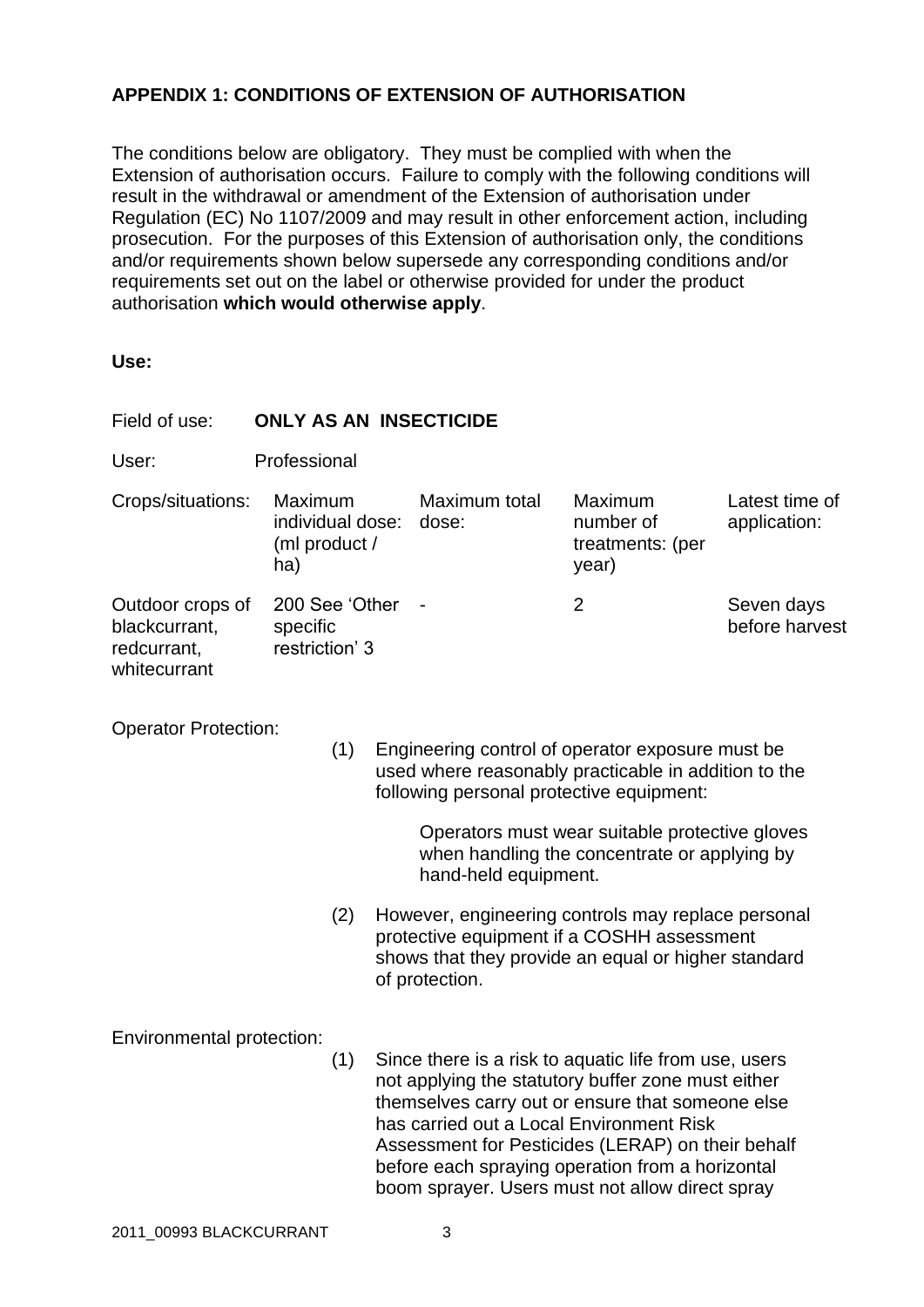## **APPENDIX 1: CONDITIONS OF EXTENSION OF AUTHORISATION**

The conditions below are obligatory. They must be complied with when the Extension of authorisation occurs. Failure to comply with the following conditions will result in the withdrawal or amendment of the Extension of authorisation under Regulation (EC) No 1107/2009 and may result in other enforcement action, including prosecution. For the purposes of this Extension of authorisation only, the conditions and/or requirements shown below supersede any corresponding conditions and/or requirements set out on the label or otherwise provided for under the product authorisation **which would otherwise apply**.

| Field of use:                                                                                                                                                                                                                                                                                                        | <b>ONLY AS AN INSECTICIDE</b>                |                                              |  |                                          |                                                                                                                                                                                                                                                                                                                             |                                |  |  |
|----------------------------------------------------------------------------------------------------------------------------------------------------------------------------------------------------------------------------------------------------------------------------------------------------------------------|----------------------------------------------|----------------------------------------------|--|------------------------------------------|-----------------------------------------------------------------------------------------------------------------------------------------------------------------------------------------------------------------------------------------------------------------------------------------------------------------------------|--------------------------------|--|--|
| User:                                                                                                                                                                                                                                                                                                                | Professional                                 |                                              |  |                                          |                                                                                                                                                                                                                                                                                                                             |                                |  |  |
| Crops/situations:                                                                                                                                                                                                                                                                                                    | ha)                                          | Maximum<br>individual dose:<br>(ml product / |  | Maximum total<br>dose:                   | Maximum<br>number of<br>treatments: (per<br>year)                                                                                                                                                                                                                                                                           | Latest time of<br>application: |  |  |
| Outdoor crops of<br>blackcurrant,<br>redcurrant,<br>whitecurrant                                                                                                                                                                                                                                                     | 200 See 'Other<br>specific<br>restriction' 3 |                                              |  |                                          | $\overline{2}$                                                                                                                                                                                                                                                                                                              | Seven days<br>before harvest   |  |  |
| <b>Operator Protection:</b><br>(1)<br>Engineering control of operator exposure must be<br>used where reasonably practicable in addition to the<br>following personal protective equipment:<br>Operators must wear suitable protective gloves<br>when handling the concentrate or applying by<br>hand-held equipment. |                                              |                                              |  |                                          |                                                                                                                                                                                                                                                                                                                             |                                |  |  |
|                                                                                                                                                                                                                                                                                                                      |                                              | (2)                                          |  | of protection.                           | However, engineering controls may replace personal<br>protective equipment if a COSHH assessment<br>shows that they provide an equal or higher standard                                                                                                                                                                     |                                |  |  |
| Environmental protection:                                                                                                                                                                                                                                                                                            |                                              | (1)                                          |  | has carried out a Local Environment Risk | Since there is a risk to aquatic life from use, users<br>not applying the statutory buffer zone must either<br>themselves carry out or ensure that someone else<br>Assessment for Pesticides (LERAP) on their behalf<br>before each spraying operation from a horizontal<br>boom sprayer. Users must not allow direct spray |                                |  |  |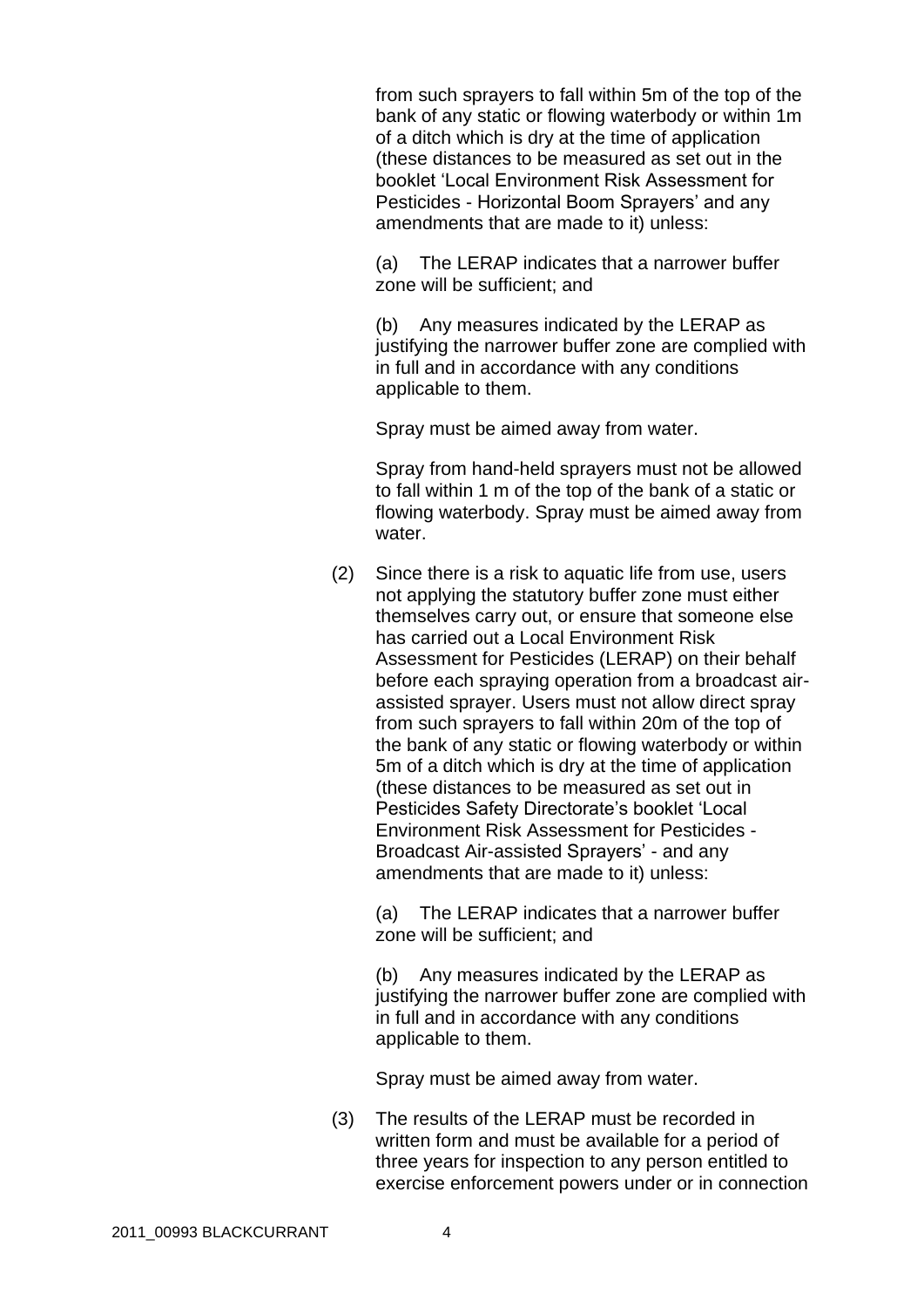from such sprayers to fall within 5m of the top of the bank of any static or flowing waterbody or within 1m of a ditch which is dry at the time of application (these distances to be measured as set out in the booklet 'Local Environment Risk Assessment for Pesticides - Horizontal Boom Sprayers' and any amendments that are made to it) unless:

(a) The LERAP indicates that a narrower buffer zone will be sufficient; and

(b) Any measures indicated by the LERAP as justifying the narrower buffer zone are complied with in full and in accordance with any conditions applicable to them.

Spray must be aimed away from water.

Spray from hand-held sprayers must not be allowed to fall within 1 m of the top of the bank of a static or flowing waterbody. Spray must be aimed away from water.

(2) Since there is a risk to aquatic life from use, users not applying the statutory buffer zone must either themselves carry out, or ensure that someone else has carried out a Local Environment Risk Assessment for Pesticides (LERAP) on their behalf before each spraying operation from a broadcast airassisted sprayer. Users must not allow direct spray from such sprayers to fall within 20m of the top of the bank of any static or flowing waterbody or within 5m of a ditch which is dry at the time of application (these distances to be measured as set out in Pesticides Safety Directorate's booklet 'Local Environment Risk Assessment for Pesticides - Broadcast Air-assisted Sprayers' - and any amendments that are made to it) unless:

(a) The LERAP indicates that a narrower buffer zone will be sufficient; and

(b) Any measures indicated by the LERAP as justifying the narrower buffer zone are complied with in full and in accordance with any conditions applicable to them.

Spray must be aimed away from water.

(3) The results of the LERAP must be recorded in written form and must be available for a period of three years for inspection to any person entitled to exercise enforcement powers under or in connection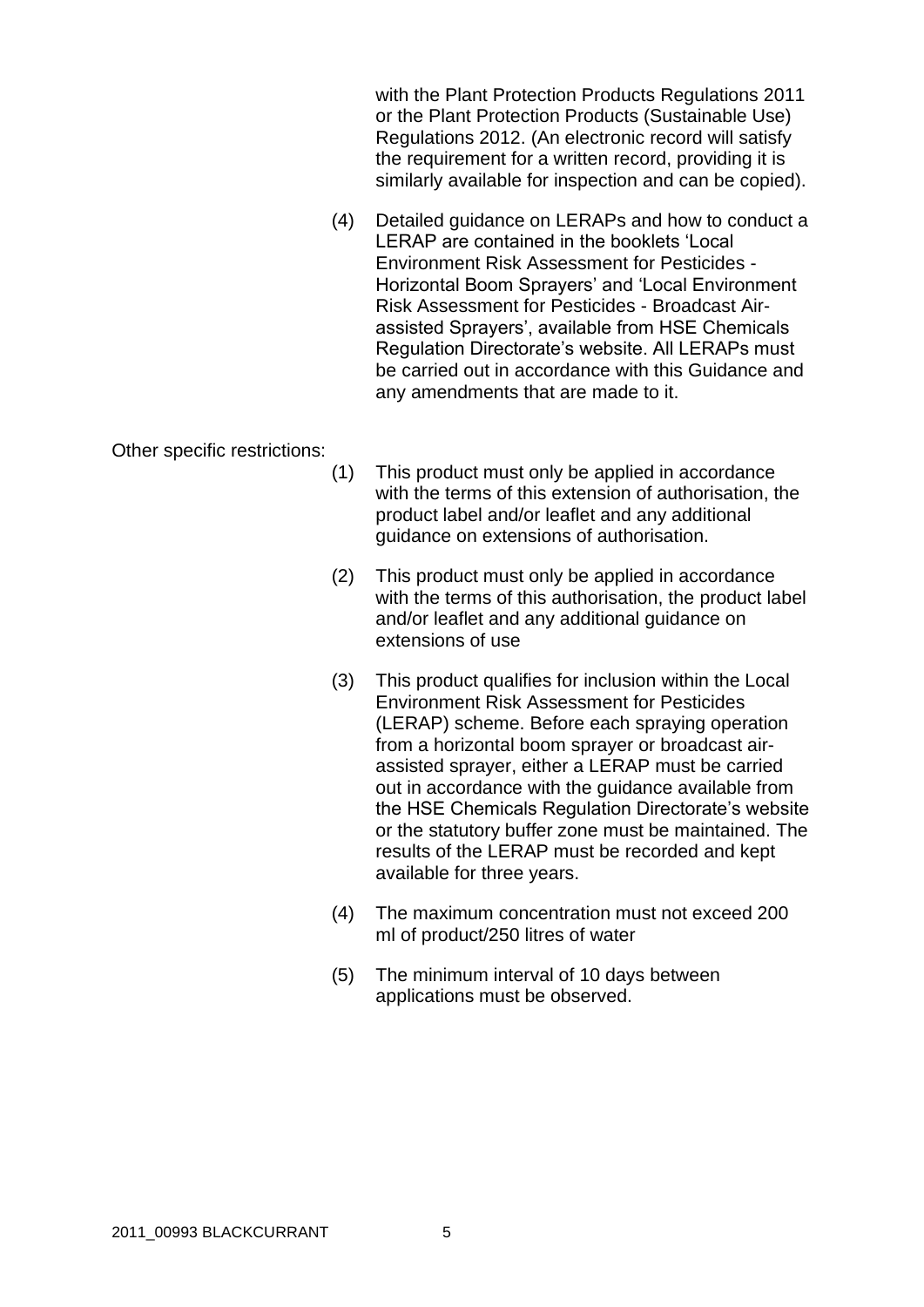with the Plant Protection Products Regulations 2011 or the Plant Protection Products (Sustainable Use) Regulations 2012. (An electronic record will satisfy the requirement for a written record, providing it is similarly available for inspection and can be copied).

(4) Detailed guidance on LERAPs and how to conduct a LERAP are contained in the booklets 'Local Environment Risk Assessment for Pesticides - Horizontal Boom Sprayers' and 'Local Environment Risk Assessment for Pesticides - Broadcast Airassisted Sprayers', available from HSE Chemicals Regulation Directorate's website. All LERAPs must be carried out in accordance with this Guidance and any amendments that are made to it.

#### Other specific restrictions:

- (1) This product must only be applied in accordance with the terms of this extension of authorisation, the product label and/or leaflet and any additional guidance on extensions of authorisation.
- (2) This product must only be applied in accordance with the terms of this authorisation, the product label and/or leaflet and any additional guidance on extensions of use
- (3) This product qualifies for inclusion within the Local Environment Risk Assessment for Pesticides (LERAP) scheme. Before each spraying operation from a horizontal boom sprayer or broadcast airassisted sprayer, either a LERAP must be carried out in accordance with the guidance available from the HSE Chemicals Regulation Directorate's website or the statutory buffer zone must be maintained. The results of the LERAP must be recorded and kept available for three years.
- (4) The maximum concentration must not exceed 200 ml of product/250 litres of water
- (5) The minimum interval of 10 days between applications must be observed.